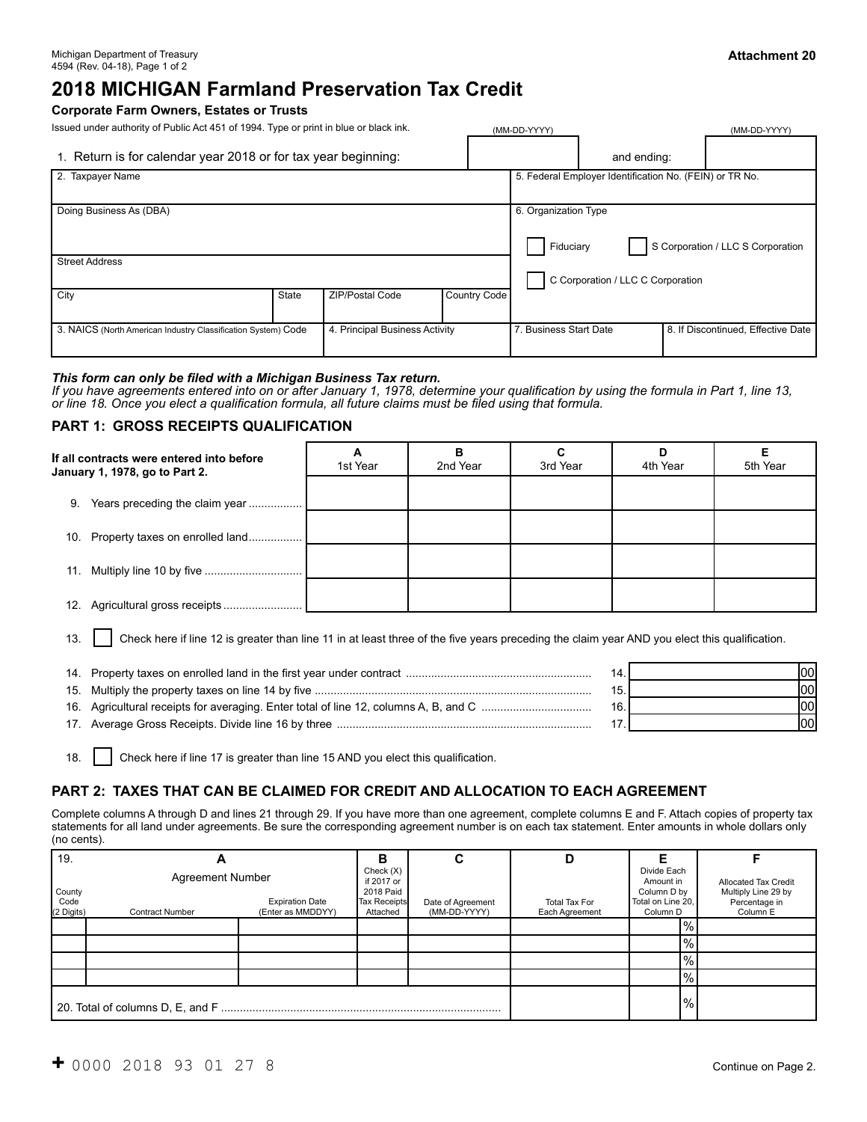# **2018 MICHIGAN Farmland Preservation Tax Credit**

#### **Corporate Farm Owners, Estates or Trusts**

Issued under authority of Public Act 451 of 1994. Type or print in blue or black ink. (MM-DD-YYYY) (MM-DD-YYYY)

| 1. Return is for calendar year 2018 or for tax year beginning:                                  |              |                 |              |                                   | and ending:                                                            |  |                                    |
|-------------------------------------------------------------------------------------------------|--------------|-----------------|--------------|-----------------------------------|------------------------------------------------------------------------|--|------------------------------------|
| 2. Taxpayer Name                                                                                |              |                 |              |                                   | 5. Federal Employer Identification No. (FEIN) or TR No.                |  |                                    |
| Doing Business As (DBA)                                                                         |              |                 |              |                                   | 6. Organization Type<br>S Corporation / LLC S Corporation<br>Fiduciary |  |                                    |
| <b>Street Address</b>                                                                           |              |                 |              | C Corporation / LLC C Corporation |                                                                        |  |                                    |
| City                                                                                            | <b>State</b> | ZIP/Postal Code | Country Code |                                   |                                                                        |  |                                    |
| 4. Principal Business Activity<br>3. NAICS (North American Industry Classification System) Code |              |                 |              | 7. Business Start Date            |                                                                        |  | 8. If Discontinued, Effective Date |

#### *This form can only be filed with a Michigan Business Tax return.*

*If you have agreements entered into on or after January 1, 1978, determine your qualification by using the formula in Part 1, line 13, or line 18. Once you elect a qualification formula, all future claims must be filed using that formula.*

#### **PART 1: GROSS RECEIPTS QUALIFICATION**

| If all contracts were entered into before<br>January 1, 1978, go to Part 2. | А<br>1st Year | в<br>2nd Year | C<br>3rd Year | D<br>4th Year | Е<br>5th Year |
|-----------------------------------------------------------------------------|---------------|---------------|---------------|---------------|---------------|
| Years preceding the claim year<br>9.                                        |               |               |               |               |               |
| 10. Property taxes on enrolled land                                         |               |               |               |               |               |
|                                                                             |               |               |               |               |               |
|                                                                             |               |               |               |               |               |

13. Check here if line 12 is greater than line 11 in at least three of the five years preceding the claim year AND you elect this qualification.

|  | 100I |
|--|------|
|  | lool |
|  | l00l |
|  | lool |

18. Check here if line 17 is greater than line 15 AND you elect this qualification.

## **PART 2: TAXES THAT CAN BE CLAIMED FOR CREDIT AND ALLOCATION TO EACH AGREEMENT**

Complete columns A through D and lines 21 through 29. If you have more than one agreement, complete columns E and F. Attach copies of property tax statements for all land under agreements. Be sure the corresponding agreement number is on each tax statement. Enter amounts in whole dollars only (no cents).

| 19.                          | Α                                                 |                                             |                                                                        | ⌒<br>u                            | D                                      |                                                                                     |                                                                                 |
|------------------------------|---------------------------------------------------|---------------------------------------------|------------------------------------------------------------------------|-----------------------------------|----------------------------------------|-------------------------------------------------------------------------------------|---------------------------------------------------------------------------------|
| County<br>Code<br>(2 Digits) | <b>Agreement Number</b><br><b>Contract Number</b> | <b>Expiration Date</b><br>(Enter as MMDDYY) | Check(X)<br>if 2017 or<br>2018 Paid<br><b>Tax Receipts</b><br>Attached | Date of Agreement<br>(MM-DD-YYYY) | <b>Total Tax For</b><br>Each Agreement | Divide Each<br>Amount in<br>Column D by<br>Total on Line 20,<br>Column <sub>D</sub> | <b>Allocated Tax Credit</b><br>Multiply Line 29 by<br>Percentage in<br>Column E |
|                              |                                                   |                                             |                                                                        |                                   |                                        | $1\%$ .                                                                             |                                                                                 |
|                              |                                                   |                                             |                                                                        |                                   |                                        | $\frac{10}{6}$                                                                      |                                                                                 |
|                              |                                                   |                                             |                                                                        |                                   |                                        | $\frac{10}{6}$                                                                      |                                                                                 |
|                              |                                                   |                                             |                                                                        |                                   |                                        | $\frac{9}{6}$                                                                       |                                                                                 |
|                              |                                                   |                                             | $\frac{9}{6}$                                                          |                                   |                                        |                                                                                     |                                                                                 |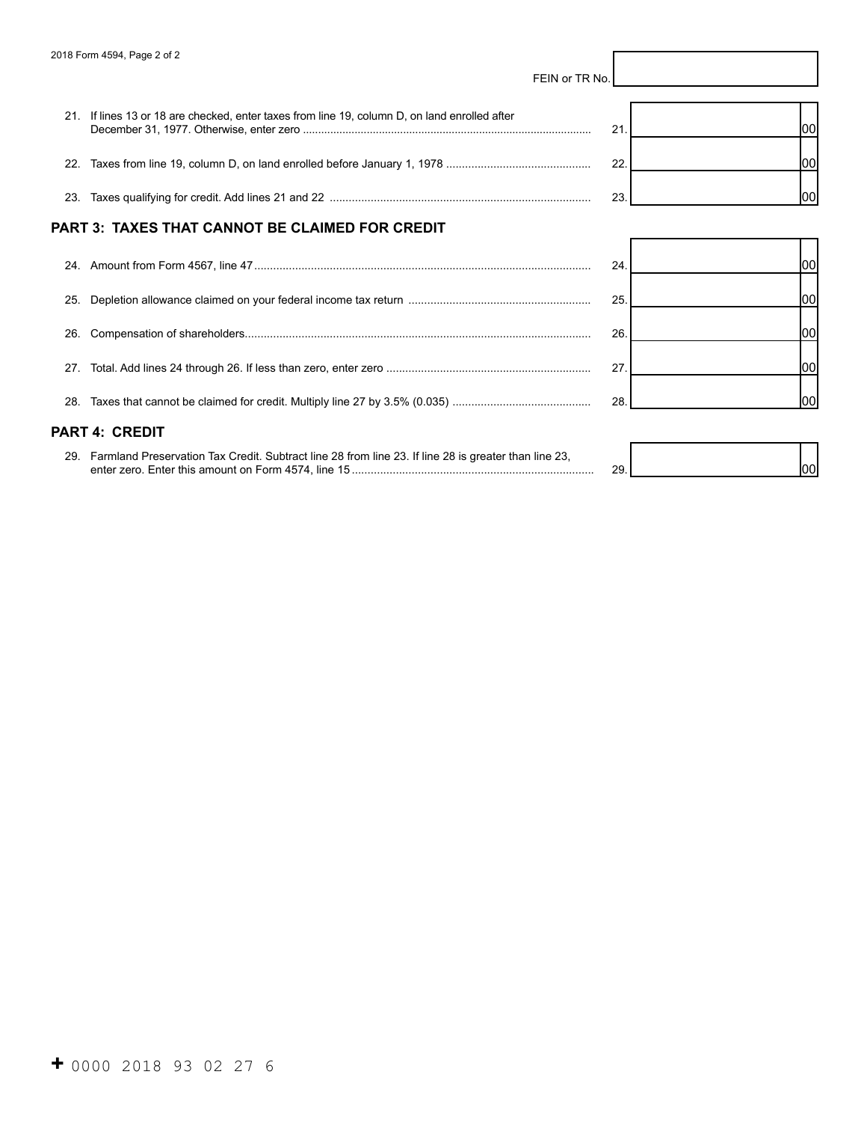|     | FEIN or TR No.                                                                                           |     |      |
|-----|----------------------------------------------------------------------------------------------------------|-----|------|
|     | 21. If lines 13 or 18 are checked, enter taxes from line 19, column D, on land enrolled after            | 21  | 1001 |
|     |                                                                                                          | 22. | 00   |
|     |                                                                                                          | 23  | lool |
|     | PART 3: TAXES THAT CANNOT BE CLAIMED FOR CREDIT                                                          |     |      |
|     |                                                                                                          | 24. | 1001 |
| 25. |                                                                                                          | 25. | 100  |
| 26. |                                                                                                          | 26. | 1001 |
| 27. |                                                                                                          | 27  | 00   |
|     |                                                                                                          | 28  | 100l |
|     | PART 4: CREDIT                                                                                           |     |      |
|     | 29. Farmland Preservation Tax Credit. Subtract line 28 from line 23. If line 28 is greater than line 23, | 29. | 1001 |

I

 $\overline{1}$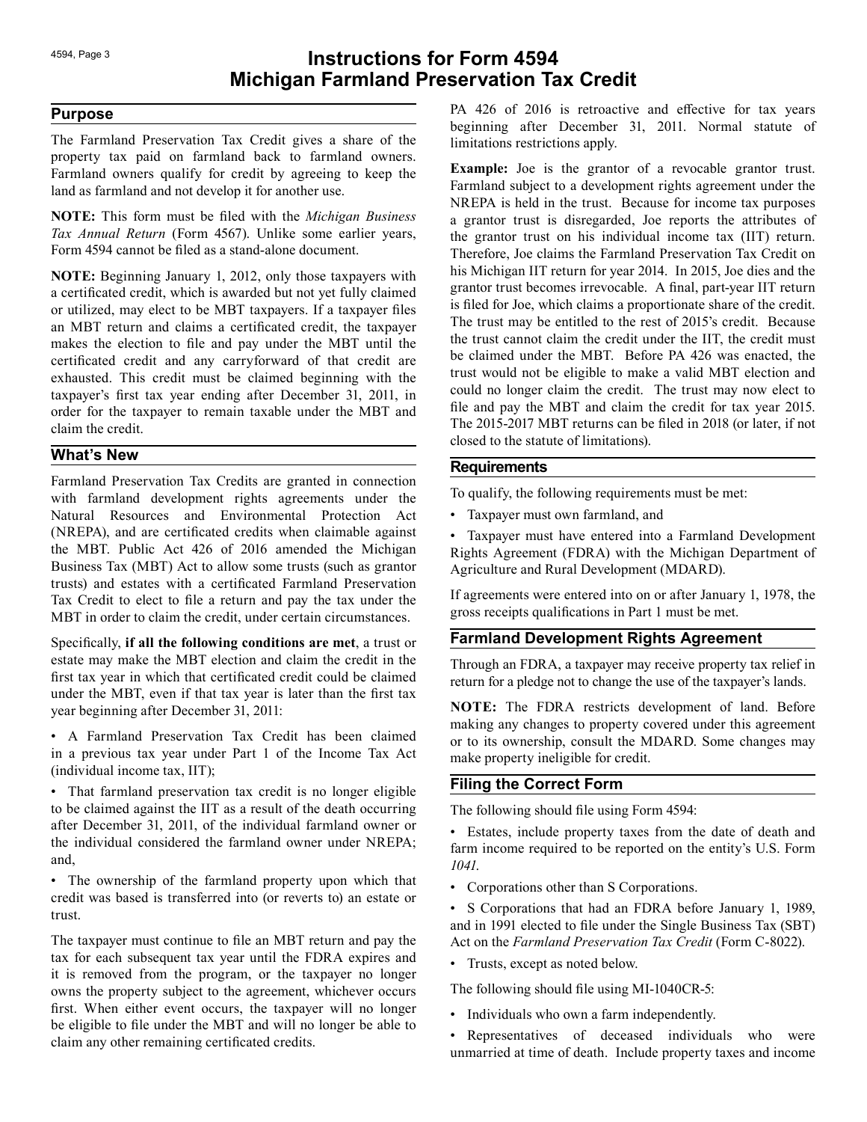# 4594, Page 3 **Instructions for Form 4594 Michigan Farmland Preservation Tax Credit**

## **Purpose**

The Farmland Preservation Tax Credit gives a share of the property tax paid on farmland back to farmland owners. Farmland owners qualify for credit by agreeing to keep the land as farmland and not develop it for another use.

**NOTE:** This form must be filed with the *Michigan Business Tax Annual Return* (Form 4567). Unlike some earlier years, Form 4594 cannot be filed as a stand-alone document.

**NOTE:** Beginning January 1, 2012, only those taxpayers with a certificated credit, which is awarded but not yet fully claimed or utilized, may elect to be MBT taxpayers. If a taxpayer files an MBT return and claims a certificated credit, the taxpayer makes the election to file and pay under the MBT until the certificated credit and any carryforward of that credit are exhausted. This credit must be claimed beginning with the taxpayer's first tax year ending after December 31, 2011, in order for the taxpayer to remain taxable under the MBT and claim the credit.

## **What's New**

Farmland Preservation Tax Credits are granted in connection with farmland development rights agreements under the Natural Resources and Environmental Protection Act (NREPA), and are certificated credits when claimable against the MBT. Public Act 426 of 2016 amended the Michigan Business Tax (MBT) Act to allow some trusts (such as grantor trusts) and estates with a certificated Farmland Preservation Tax Credit to elect to file a return and pay the tax under the MBT in order to claim the credit, under certain circumstances.

Specifically, **if all the following conditions are met**, a trust or estate may make the MBT election and claim the credit in the first tax year in which that certificated credit could be claimed under the MBT, even if that tax year is later than the first tax year beginning after December 31, 2011:

• A Farmland Preservation Tax Credit has been claimed in a previous tax year under Part 1 of the Income Tax Act (individual income tax, IIT);

• That farmland preservation tax credit is no longer eligible to be claimed against the IIT as a result of the death occurring after December 31, 2011, of the individual farmland owner or the individual considered the farmland owner under NREPA; and,

• The ownership of the farmland property upon which that credit was based is transferred into (or reverts to) an estate or trust.

The taxpayer must continue to file an MBT return and pay the tax for each subsequent tax year until the FDRA expires and it is removed from the program, or the taxpayer no longer owns the property subject to the agreement, whichever occurs first. When either event occurs, the taxpayer will no longer be eligible to file under the MBT and will no longer be able to claim any other remaining certificated credits.

PA 426 of 2016 is retroactive and effective for tax years beginning after December 31, 2011. Normal statute of limitations restrictions apply.

**Example:** Joe is the grantor of a revocable grantor trust. Farmland subject to a development rights agreement under the NREPA is held in the trust. Because for income tax purposes a grantor trust is disregarded, Joe reports the attributes of the grantor trust on his individual income tax (IIT) return. Therefore, Joe claims the Farmland Preservation Tax Credit on his Michigan IIT return for year 2014. In 2015, Joe dies and the grantor trust becomes irrevocable. A final, part-year IIT return is filed for Joe, which claims a proportionate share of the credit. The trust may be entitled to the rest of 2015's credit. Because the trust cannot claim the credit under the IIT, the credit must be claimed under the MBT. Before PA 426 was enacted, the trust would not be eligible to make a valid MBT election and could no longer claim the credit. The trust may now elect to file and pay the MBT and claim the credit for tax year 2015. The 2015-2017 MBT returns can be filed in 2018 (or later, if not closed to the statute of limitations).

## **Requirements**

To qualify, the following requirements must be met:

• Taxpayer must own farmland, and

• Taxpayer must have entered into a Farmland Development Rights Agreement (FDRA) with the Michigan Department of Agriculture and Rural Development (MDARD).

If agreements were entered into on or after January 1, 1978, the gross receipts qualifications in Part 1 must be met.

## **Farmland Development Rights Agreement**

Through an FDRA, a taxpayer may receive property tax relief in return for a pledge not to change the use of the taxpayer's lands.

**NOTE:** The FDRA restricts development of land. Before making any changes to property covered under this agreement or to its ownership, consult the MDARD. Some changes may make property ineligible for credit.

## **Filing the Correct Form**

The following should file using Form 4594:

• Estates, include property taxes from the date of death and farm income required to be reported on the entity's U.S. Form *1041*.

• Corporations other than S Corporations.

• S Corporations that had an FDRA before January 1, 1989, and in 1991 elected to file under the Single Business Tax (SBT) Act on the *Farmland Preservation Tax Credit* (Form C-8022).

• Trusts, except as noted below.

The following should file using MI-1040CR-5:

- Individuals who own a farm independently.
- Representatives of deceased individuals who were unmarried at time of death. Include property taxes and income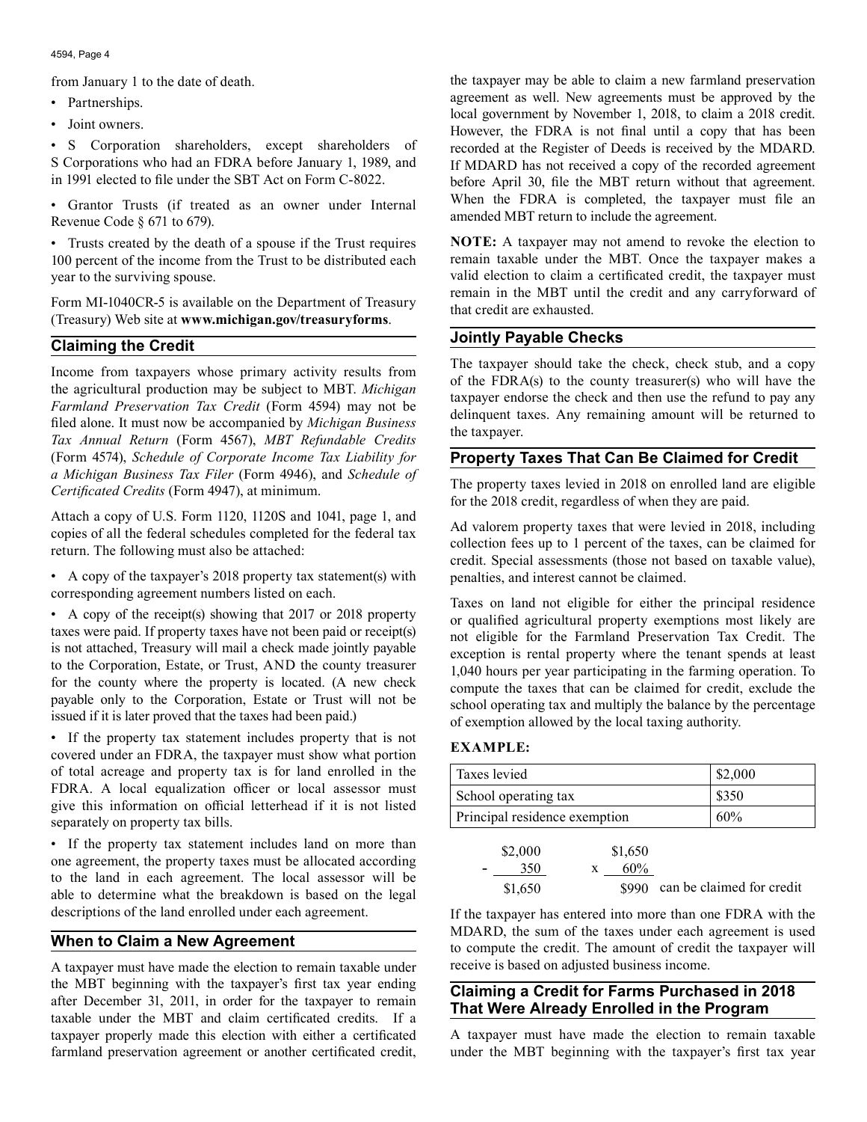from January 1 to the date of death.

- Partnerships.
- Joint owners.

• S Corporation shareholders, except shareholders of S Corporations who had an FDRA before January 1, 1989, and in 1991 elected to file under the SBT Act on Form C-8022.

• Grantor Trusts (if treated as an owner under Internal Revenue Code § 671 to 679).

• Trusts created by the death of a spouse if the Trust requires 100 percent of the income from the Trust to be distributed each year to the surviving spouse.

Form MI-1040CR-5 is available on the Department of Treasury (Treasury) Web site at **www.michigan.gov/treasuryforms**.

## **Claiming the Credit**

Income from taxpayers whose primary activity results from the agricultural production may be subject to MBT. *Michigan Farmland Preservation Tax Credit* (Form 4594) may not be filed alone. It must now be accompanied by *Michigan Business Tax Annual Return* (Form 4567), *MBT Refundable Credits*  (Form 4574), *Schedule of Corporate Income Tax Liability for a Michigan Business Tax Filer* (Form 4946), and *Schedule of Certificated Credits* (Form 4947), at minimum.

Attach a copy of U.S. Form 1120, 1120S and 1041, page 1, and copies of all the federal schedules completed for the federal tax return. The following must also be attached:

• A copy of the taxpayer's 2018 property tax statement(s) with corresponding agreement numbers listed on each.

• A copy of the receipt(s) showing that 2017 or 2018 property taxes were paid. If property taxes have not been paid or receipt(s) is not attached, Treasury will mail a check made jointly payable to the Corporation, Estate, or Trust, AND the county treasurer for the county where the property is located. (A new check payable only to the Corporation, Estate or Trust will not be issued if it is later proved that the taxes had been paid.)

• If the property tax statement includes property that is not covered under an FDRA, the taxpayer must show what portion of total acreage and property tax is for land enrolled in the FDRA. A local equalization officer or local assessor must give this information on official letterhead if it is not listed separately on property tax bills.

• If the property tax statement includes land on more than one agreement, the property taxes must be allocated according to the land in each agreement. The local assessor will be able to determine what the breakdown is based on the legal descriptions of the land enrolled under each agreement.

## **When to Claim a New Agreement**

A taxpayer must have made the election to remain taxable under the MBT beginning with the taxpayer's first tax year ending after December 31, 2011, in order for the taxpayer to remain taxable under the MBT and claim certificated credits. If a taxpayer properly made this election with either a certificated farmland preservation agreement or another certificated credit,

the taxpayer may be able to claim a new farmland preservation agreement as well. New agreements must be approved by the local government by November 1, 2018, to claim a 2018 credit. However, the FDRA is not final until a copy that has been recorded at the Register of Deeds is received by the MDARD. If MDARD has not received a copy of the recorded agreement before April 30, file the MBT return without that agreement. When the FDRA is completed, the taxpayer must file an amended MBT return to include the agreement.

**NOTE:** A taxpayer may not amend to revoke the election to remain taxable under the MBT. Once the taxpayer makes a valid election to claim a certificated credit, the taxpayer must remain in the MBT until the credit and any carryforward of that credit are exhausted.

# **Jointly Payable Checks**

The taxpayer should take the check, check stub, and a copy of the FDRA(s) to the county treasurer(s) who will have the taxpayer endorse the check and then use the refund to pay any delinquent taxes. Any remaining amount will be returned to the taxpayer.

# **Property Taxes That Can Be Claimed for Credit**

The property taxes levied in 2018 on enrolled land are eligible for the 2018 credit, regardless of when they are paid.

Ad valorem property taxes that were levied in 2018, including collection fees up to 1 percent of the taxes, can be claimed for credit. Special assessments (those not based on taxable value), penalties, and interest cannot be claimed.

Taxes on land not eligible for either the principal residence or qualified agricultural property exemptions most likely are not eligible for the Farmland Preservation Tax Credit. The exception is rental property where the tenant spends at least 1,040 hours per year participating in the farming operation. To compute the taxes that can be claimed for credit, exclude the school operating tax and multiply the balance by the percentage of exemption allowed by the local taxing authority.

## **EXAMPLE:**

| Taxes levied                  | \$2,000 |
|-------------------------------|---------|
| School operating tax          | \$350   |
| Principal residence exemption | 60%     |

| \$2,000 | \$1,650 |                                 |
|---------|---------|---------------------------------|
| 350     | $60\%$  |                                 |
| \$1,650 |         | \$990 can be claimed for credit |

If the taxpayer has entered into more than one FDRA with the MDARD, the sum of the taxes under each agreement is used to compute the credit. The amount of credit the taxpayer will receive is based on adjusted business income.

# **Claiming a Credit for Farms Purchased in 2018 That Were Already Enrolled in the Program**

A taxpayer must have made the election to remain taxable under the MBT beginning with the taxpayer's first tax year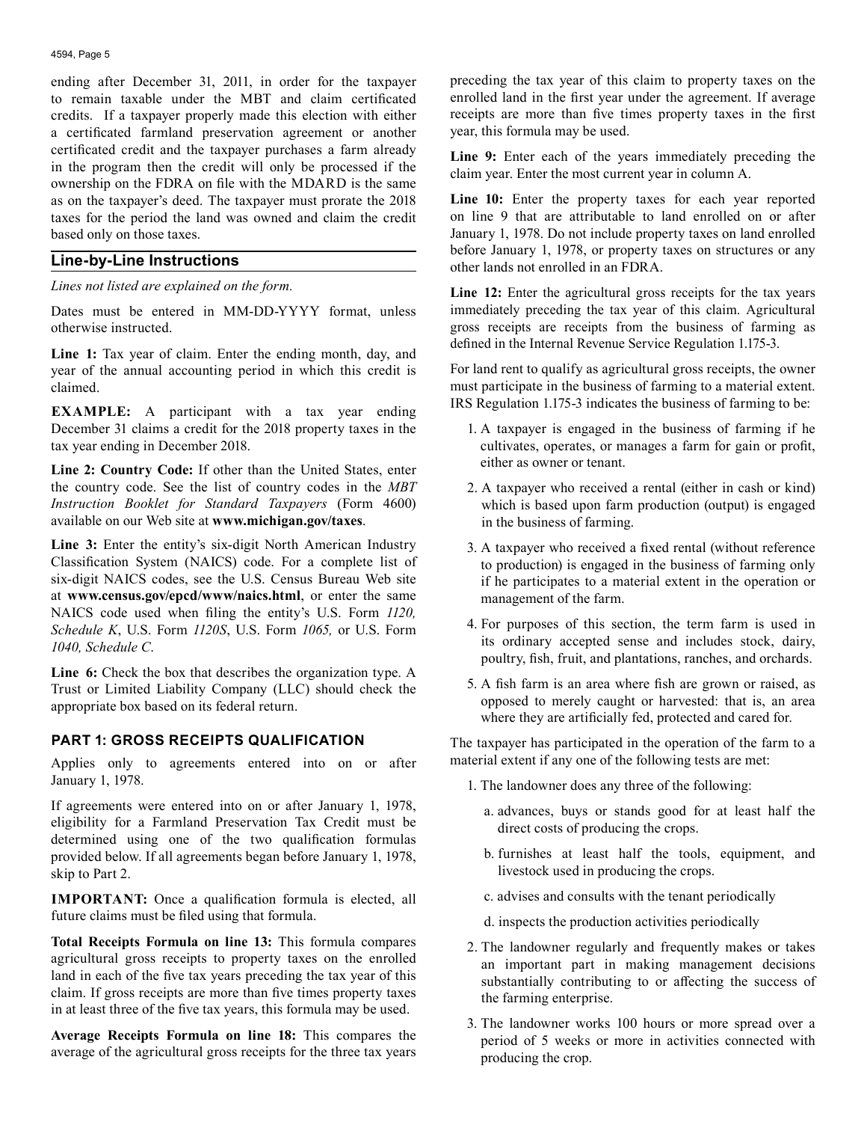ending after December 31, 2011, in order for the taxpayer to remain taxable under the MBT and claim certificated credits. If a taxpayer properly made this election with either a certificated farmland preservation agreement or another certificated credit and the taxpayer purchases a farm already in the program then the credit will only be processed if the ownership on the FDRA on file with the MDARD is the same as on the taxpayer's deed. The taxpayer must prorate the 2018 taxes for the period the land was owned and claim the credit based only on those taxes.

#### **Line-by-Line Instructions**

*Lines not listed are explained on the form.* 

Dates must be entered in MM-DD-YYYY format, unless otherwise instructed.

**Line 1:** Tax year of claim. Enter the ending month, day, and year of the annual accounting period in which this credit is claimed.

**EXAMPLE:** A participant with a tax year ending December 31 claims a credit for the 2018 property taxes in the tax year ending in December 2018.

**Line 2: Country Code:** If other than the United States, enter the country code. See the list of country codes in the *MBT Instruction Booklet for Standard Taxpayers* (Form 4600) available on our Web site at **www.michigan.gov/taxes**.

**Line 3:** Enter the entity's six-digit North American Industry Classification System (NAICS) code. For a complete list of six-digit NAICS codes, see the U.S. Census Bureau Web site at **www.census.gov/epcd/www/naics.html**, or enter the same NAICS code used when filing the entity's U.S. Form *1120, Schedule K*, U.S. Form *1120S*, U.S. Form *1065,* or U.S. Form *1040, Schedule C*.

**Line 6:** Check the box that describes the organization type. A Trust or Limited Liability Company (LLC) should check the appropriate box based on its federal return.

## **PART 1: GROSS RECEIPTS QUALIFICATION**

Applies only to agreements entered into on or after January 1, 1978.

If agreements were entered into on or after January 1, 1978, eligibility for a Farmland Preservation Tax Credit must be determined using one of the two qualification formulas provided below. If all agreements began before January 1, 1978, skip to Part 2.

**IMPORTANT:** Once a qualification formula is elected, all future claims must be filed using that formula.

**Total Receipts Formula on line 13:** This formula compares agricultural gross receipts to property taxes on the enrolled land in each of the five tax years preceding the tax year of this claim. If gross receipts are more than five times property taxes in at least three of the five tax years, this formula may be used.

**Average Receipts Formula on line 18:** This compares the average of the agricultural gross receipts for the three tax years preceding the tax year of this claim to property taxes on the enrolled land in the first year under the agreement. If average receipts are more than five times property taxes in the first year, this formula may be used.

Line 9: Enter each of the years immediately preceding the claim year. Enter the most current year in column A.

**Line 10:** Enter the property taxes for each year reported on line 9 that are attributable to land enrolled on or after January 1, 1978. Do not include property taxes on land enrolled before January 1, 1978, or property taxes on structures or any other lands not enrolled in an FDRA.

**Line 12:** Enter the agricultural gross receipts for the tax years immediately preceding the tax year of this claim. Agricultural gross receipts are receipts from the business of farming as defined in the Internal Revenue Service Regulation 1.175-3.

For land rent to qualify as agricultural gross receipts, the owner must participate in the business of farming to a material extent. IRS Regulation 1.175-3 indicates the business of farming to be:

- 1. A taxpayer is engaged in the business of farming if he cultivates, operates, or manages a farm for gain or profit, either as owner or tenant.
- 2. A taxpayer who received a rental (either in cash or kind) which is based upon farm production (output) is engaged in the business of farming.
- 3. A taxpayer who received a fixed rental (without reference to production) is engaged in the business of farming only if he participates to a material extent in the operation or management of the farm.
- 4. For purposes of this section, the term farm is used in its ordinary accepted sense and includes stock, dairy, poultry, fish, fruit, and plantations, ranches, and orchards.
- 5. A fish farm is an area where fish are grown or raised, as opposed to merely caught or harvested: that is, an area where they are artificially fed, protected and cared for.

The taxpayer has participated in the operation of the farm to a material extent if any one of the following tests are met:

- 1. The landowner does any three of the following:
	- a. advances, buys or stands good for at least half the direct costs of producing the crops.
	- b. furnishes at least half the tools, equipment, and livestock used in producing the crops.
	- c. advises and consults with the tenant periodically
	- d. inspects the production activities periodically
- 2. The landowner regularly and frequently makes or takes an important part in making management decisions substantially contributing to or affecting the success of the farming enterprise.
- 3. The landowner works 100 hours or more spread over a period of 5 weeks or more in activities connected with producing the crop.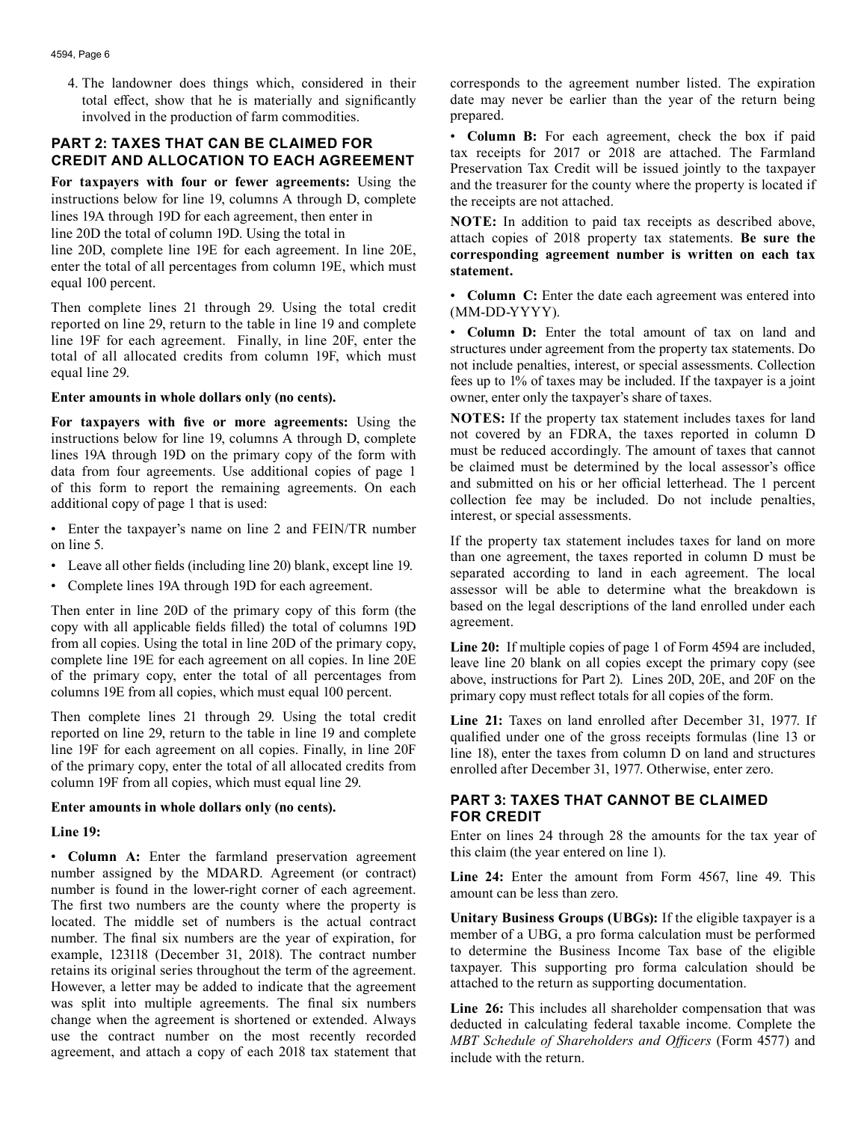4. The landowner does things which, considered in their total effect, show that he is materially and significantly involved in the production of farm commodities.

## **PART 2: TAXES THAT CAN BE CLAIMED FOR CREDIT AND ALLOCATION TO EACH AGREEMENT**

**For taxpayers with four or fewer agreements:** Using the instructions below for line 19, columns A through D, complete lines 19A through 19D for each agreement, then enter in line 20D the total of column 19D. Using the total in

line 20D, complete line 19E for each agreement. In line 20E, enter the total of all percentages from column 19E, which must equal 100 percent.

Then complete lines 21 through 29. Using the total credit reported on line 29, return to the table in line 19 and complete line 19F for each agreement. Finally, in line 20F, enter the total of all allocated credits from column 19F, which must equal line 29.

#### **Enter amounts in whole dollars only (no cents).**

**For taxpayers with five or more agreements:** Using the instructions below for line 19, columns A through D, complete lines 19A through 19D on the primary copy of the form with data from four agreements. Use additional copies of page 1 of this form to report the remaining agreements. On each additional copy of page 1 that is used:

- Enter the taxpayer's name on line 2 and FEIN/TR number on line 5.
- Leave all other fields (including line 20) blank, except line 19.
- Complete lines 19A through 19D for each agreement.

Then enter in line 20D of the primary copy of this form (the copy with all applicable fields filled) the total of columns 19D from all copies. Using the total in line 20D of the primary copy, complete line 19E for each agreement on all copies. In line 20E of the primary copy, enter the total of all percentages from columns 19E from all copies, which must equal 100 percent.

Then complete lines 21 through 29. Using the total credit reported on line 29, return to the table in line 19 and complete line 19F for each agreement on all copies. Finally, in line 20F of the primary copy, enter the total of all allocated credits from column 19F from all copies, which must equal line 29.

#### **Enter amounts in whole dollars only (no cents).**

#### **Line 19:**

• **Column A:** Enter the farmland preservation agreement number assigned by the MDARD. Agreement (or contract) number is found in the lower-right corner of each agreement. The first two numbers are the county where the property is located. The middle set of numbers is the actual contract number. The final six numbers are the year of expiration, for example, 123118 (December 31, 2018). The contract number retains its original series throughout the term of the agreement. However, a letter may be added to indicate that the agreement was split into multiple agreements. The final six numbers change when the agreement is shortened or extended. Always use the contract number on the most recently recorded agreement, and attach a copy of each 2018 tax statement that

corresponds to the agreement number listed. The expiration date may never be earlier than the year of the return being prepared.

• **Column B:** For each agreement, check the box if paid tax receipts for 2017 or 2018 are attached. The Farmland Preservation Tax Credit will be issued jointly to the taxpayer and the treasurer for the county where the property is located if the receipts are not attached.

**NOTE:** In addition to paid tax receipts as described above, attach copies of 2018 property tax statements. **Be sure the corresponding agreement number is written on each tax statement.** 

• **Column C:** Enter the date each agreement was entered into (MM-DD-YYYY).

• **Column D:** Enter the total amount of tax on land and structures under agreement from the property tax statements. Do not include penalties, interest, or special assessments. Collection fees up to 1% of taxes may be included. If the taxpayer is a joint owner, enter only the taxpayer's share of taxes.

**NOTES:** If the property tax statement includes taxes for land not covered by an FDRA, the taxes reported in column D must be reduced accordingly. The amount of taxes that cannot be claimed must be determined by the local assessor's office and submitted on his or her official letterhead. The 1 percent collection fee may be included. Do not include penalties, interest, or special assessments.

If the property tax statement includes taxes for land on more than one agreement, the taxes reported in column D must be separated according to land in each agreement. The local assessor will be able to determine what the breakdown is based on the legal descriptions of the land enrolled under each agreement.

**Line 20:** If multiple copies of page 1 of Form 4594 are included, leave line 20 blank on all copies except the primary copy (see above, instructions for Part 2). Lines 20D, 20E, and 20F on the primary copy must reflect totals for all copies of the form.

**Line 21:** Taxes on land enrolled after December 31, 1977. If qualified under one of the gross receipts formulas (line 13 or line 18), enter the taxes from column D on land and structures enrolled after December 31, 1977. Otherwise, enter zero.

## **PART 3: TAXES THAT CANNOT BE CLAIMED FOR CREDIT**

Enter on lines 24 through 28 the amounts for the tax year of this claim (the year entered on line 1).

**Line 24:** Enter the amount from Form 4567, line 49. This amount can be less than zero.

**Unitary Business Groups (UBGs):** If the eligible taxpayer is a member of a UBG, a pro forma calculation must be performed to determine the Business Income Tax base of the eligible taxpayer. This supporting pro forma calculation should be attached to the return as supporting documentation.

**Line 26:** This includes all shareholder compensation that was deducted in calculating federal taxable income. Complete the *MBT Schedule of Shareholders and Officers* (Form 4577) and include with the return.